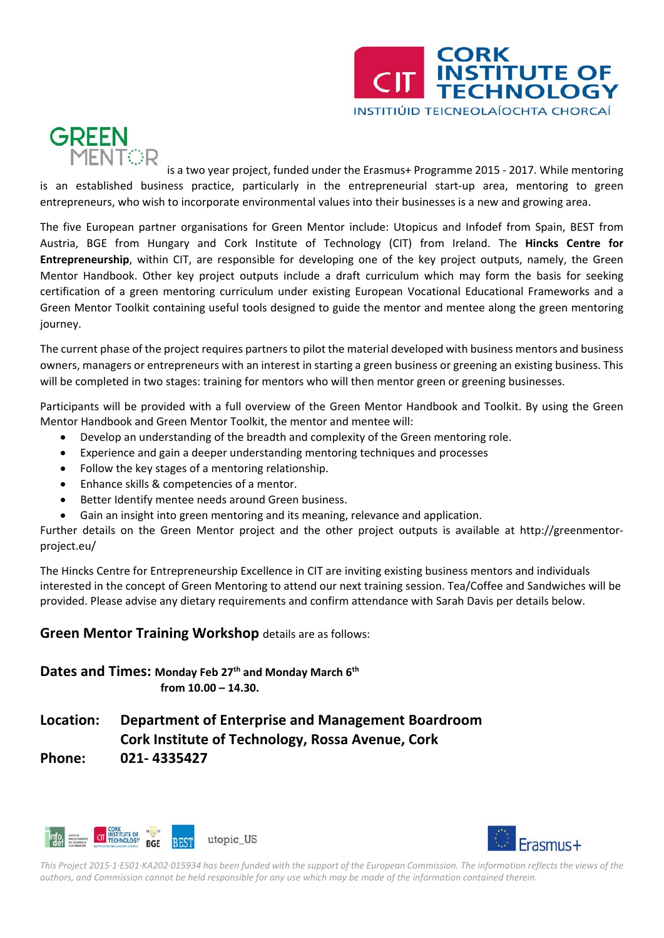

## **GREEN MENTOR**

is a two year project, funded under the Erasmus+ Programme 2015 ‐ 2017. While mentoring is an established business practice, particularly in the entrepreneurial start‐up area, mentoring to green entrepreneurs, who wish to incorporate environmental values into their businesses is a new and growing area.

The five European partner organisations for Green Mentor include: Utopicus and Infodef from Spain, BEST from Austria, BGE from Hungary and Cork Institute of Technology (CIT) from Ireland. The **Hincks Centre for Entrepreneurship**, within CIT, are responsible for developing one of the key project outputs, namely, the Green Mentor Handbook. Other key project outputs include a draft curriculum which may form the basis for seeking certification of a green mentoring curriculum under existing European Vocational Educational Frameworks and a Green Mentor Toolkit containing useful tools designed to guide the mentor and mentee along the green mentoring journey.

The current phase of the project requires partners to pilot the material developed with business mentors and business owners, managers or entrepreneurs with an interest in starting a green business or greening an existing business. This will be completed in two stages: training for mentors who will then mentor green or greening businesses.

Participants will be provided with a full overview of the Green Mentor Handbook and Toolkit. By using the Green Mentor Handbook and Green Mentor Toolkit, the mentor and mentee will:

- Develop an understanding of the breadth and complexity of the Green mentoring role.
- Experience and gain a deeper understanding mentoring techniques and processes
- Follow the key stages of a mentoring relationship.
- Enhance skills & competencies of a mentor.
- Better Identify mentee needs around Green business.
- Gain an insight into green mentoring and its meaning, relevance and application.

Further details on the Green Mentor project and the other project outputs is available at http://greenmentor‐ project.eu/

The Hincks Centre for Entrepreneurship Excellence in CIT are inviting existing business mentors and individuals interested in the concept of Green Mentoring to attend our next training session. Tea/Coffee and Sandwiches will be provided. Please advise any dietary requirements and confirm attendance with Sarah Davis per details below.

## **Green Mentor Training Workshop** details are as follows:

**Dates and Times: Monday Feb 27th and Monday March 6th from 10.00 – 14.30.**

## **Location: Department of Enterprise and Management Boardroom Cork Institute of Technology, Rossa Avenue, Cork Phone: 021‐ 4335427**





This Project 2015-1-ES01-KA202-015934 has been funded with the support of the European Commission. The information reflects the views of the authors, and Commission cannot be held responsible for any use which may be made of the information contained therein.